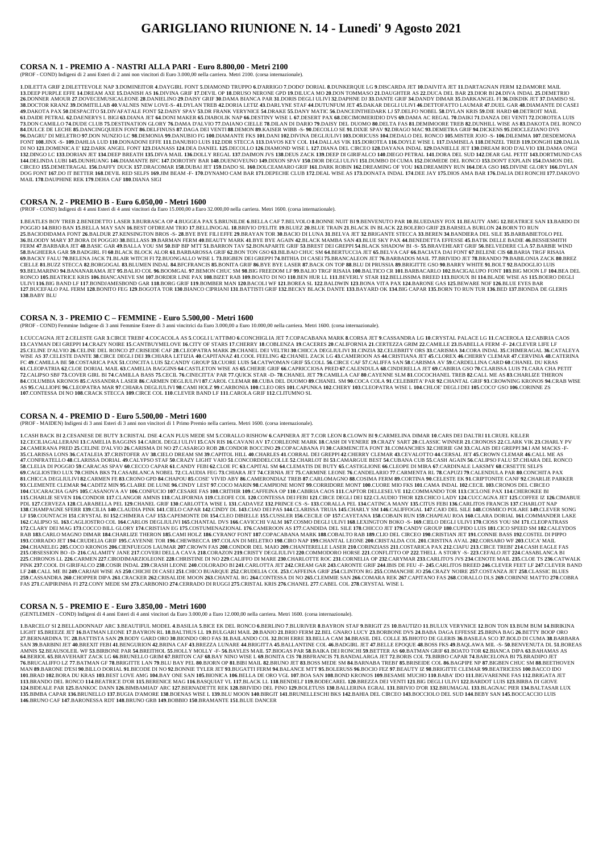# **GARIGLIANO RIUNIONE N. 14 - Lunedi' 9 Agosto 2021**

#### **CORSA N. 1 - PREMIO A - NASTRI ALLA PARI - Euro 8.800,00 - Metri 2100**

(PROF - COND) Indigeni di 2 anni Esteri di 2 anni non vincitori di Euro 3.000,00 nella carriera. Metri 2100. (corsa internazionale).

1.DILETTA GRIF 2.DILETTEVOLE NAP 3.DOMINEITOR 4.DAYGIRL FONT 5.DIAMOND TRUPPO 6.D'ARRIGO 7.DODO' DORIAL 8.DUNKEROUE LG 9.DISCARDA JET 10.DAIVITA JET 11.DARTAGNAN FERM 12.DAMORE MAIL 13.DEEP PURPLE EFFE 14.DREAM AXE 15.DANISH AS 16.DIVINA GRIF 17.DEVIL OP 18.DRUSO NERONE GPD 19.DILUCA MO 20.DON TOMMASO 21.DAUGHTER AS 22.DUCA DEL BAR 23.DIOR BI 24.DIVA INDAL 25.DEMETRIO 26.DONNER AMOUR 27.DOVECEMUSICALEONE 28.DANIELINO 29.DAISY GRIF 30.DAMA BIANCA PAR 31.DORIS DEGLI ULIVI 32.DAPHNE DJ 33.DANTE GRIF 34.DANDY DIMAR 35.DARKANGEL FI 36.DIKDIK JET 37.DAMISO SL 38.DOCTOR KRANZ 39.DOMITILLAB 40.VALNES NEW LOVE-S- 41.DYLAN TREB 42.DORIA LETIZ 43.DARLYNE STAF 44.DUTUNFUM JET 45.DAKAR DEGLI ULIVI 46.DETTOFATTO LAUMAR 47.DUEL GAR 48.DIAMANTE DI CASEI 49.DAKOTA PAX 50.DESPACITO 51.DIVAFATALE FONT 52.DAISY SPAV 53.DR FRANK VERYNICE 54.DRAKE 55.DANY MATIC 56.DANCEINTHEDARK LJ 57.DELFO NOBEL 58.DYLAN KRIS 59.DIE HARD 60.DETROIT MAIL 61.DAIDE PETRAL 62.DAENERYS L BIGI 63.DIANA JET 64.DONI MAKER 65.DIABOLIK NAP 66.DESTINY WISE L 67.DESERT PAX 68.DECIMOMERIDIO DVS 69.DAMA AC REGAL 70.DAIKI 71.DANZA DEI VENTI 72.DOROTEA LUIS 73.DON CAMILLO 74.DUDE CLUB 75.DESTINATION GLORY 76.DAMA D'ALVIO 77.DAIANO CIELLE 78.DILAN DI DARIO 79.DAISY DEL DUOMO 80.DELTA FAS 81.DEMIMOORE TREB 82.DUNHILL WISE AS 83.DAKOTA DEL RONCO 84.DULCE DE LECHE 85.DANCINGQUEEN FONT 86.DELFINUSS 87.DAGA DEI VENTI 88.DEMON 89.KAISER WIBB -S- 90.DECOLLO SE 91.DIXIE SPAV 92.DRAGO MAC 93.DEMETRA GRIF 94.DICKENS 95.DIOCLEZIANO DVS 96.DAGRU'DI MELETRO 97.DON NUNZIO LC 98.DEMONIA 99.DANUBIO FG 100.DIAMANTE FKS 101.DANI 102.DIVINA DEGLIULIVI 103.DORICUSS 104.DEDALO DEL RONCO 105.MISTER JOJO -S- 106.DILEMMA 107.DESDEMONA FONT 108.JINX -S-109.DAHLIA LUD 110.DONADONI EFFE 111.DANUBIO LUIS 112.DDR STECCA 113.DAVOS KEY COL 114.DALLAS VIK 115.DOROTEA 116.DOYLE WISE L 117.DAMISELA 118.DENZEL TREB 119.DONGHI 120.DALIA DI NO 121.DOMENICA E' 122.DARK ANGEL FONT 123.DIANASS 124.DEA DANIEL 125.DECOLLO 126.DIAMOND WISE L 127.DIANA DEL CIRCEO 128.DAYANA INDAL 129.DANIELLE JET 130.DREAM ROD D'ALVIO 131.DAMA ONGI 132.DINGO LC 133.DORIAN JET 134.DEEP BREATH 135.DIVA MAIL 136.DOLLY REGAL 137.DAIMON JVS 138.DEUS ZACK 139.DEEP DI GIRIFALCO 140.DIEGO PETRAL 141.DORA DEL SUD 142.DEAR GAL PETIT 143.DORTMUND CAS 144.DELINDA LUBI 145.DUNHUANG 146.DIAMANTE BFC 147.DOROTHY BAR 148.DUENOVEUNO 149.DIXON SPAV 150.DIOR DEGLI ULIVI 151.DUMBO DI CUMA 152.DIOMEDE DEL RONCO 153.DON'T EXPLAIN 154.DAMON DEL CIRCEO 155.DEMETRAGAL 156.DAFFY DUCK 157.DRACOMAR 158.DUBAI JET 159.DADO SL 160.DOLCEAMARO GRIF 161.DARK ROBIN 162.DREAMING OF YOU 163.DREAMINY RUN 164.DEA GSO 165.DIVINE GLORY 166.DYLAN DOG FONT 167.DO IT BETTER 168.DEVIL RED SELFS 169.JIM BEAM -F- 170.DYNAMO CAM BAR 171.DEPECHE CLUB 172.DEAL WISE AS 173.DONATA INDAL 174.DEE JAY 175.DIOS AMA BAR 176.DALIA DEI RONCHI 177.DAKOVO MAIL **178**.DAUPHINE REK **179**.DEHA CAF **180**.DIANA SIGI

1.BEATLES BOY TREB 2.BENEDETTO LASER 3.BURRASCA OP 4.BUGGEA PAX 5.BRUNILDE 6.BELLA CAF 7.BELVOLO 8.BONNE NUIT B19.BENVENUTO PAR 10.BLUEDAISY FOX 11.BEAUTY AMG 12.BEATRICE SAN 13.BARDO DI POGGIO 14.BRIO BAN 15.BELLA MAY SAN 16.BEST OFDREAM TRIO 17.BELLINOGAL 18.BRIVIO D'ELITE 19.BLUEZ 20.BLUE TRAIN 21.BLACK IN BLACK 22.BOLERO GRIF 23.BARSELA BURLON 24.BORN TO RUN 25.BACIODIDAMA FONT 26.BALDUR 27.KENSINGTON BROS -S- 28.BYE BYE FILI EFFE 29.BRAYAN TOR 30.BACIO DI LUNA 31.BELVA JET 32.BRIGANTE STECCA 33.BEREN 34.BANDIERA DEL SILE 35.BARBABIETOLO PEL 36.BLOODY MARY 37.BORA DI POGGIO 38.BELLASS 39.BARMAN FERM 40.BEAUTY MARK 41.BYE BYE AGAIN 42.BLACK MAMBA SAN 43.BLUE SKY PAX 44.BENEDETTA EFFESSE 45.BATIK DELLE BADIE 46.BESSIESMITH FERM 47.BARBARA JET 48.BASIC GAR 49.BALLA YOU SM 50.BIP BIP MTT 51.BARRON TAV 52.BONAPARTE GRIF 53.BREST DEI GREPPI 54.BLACK SHADOW BI -S- 55.BRAVEHEART GRIF 56.BELVEDERE CLA 57.BARBIE WIND 58.BAGHEERA GAR 59.BADGIRL FI 60.BLACK BLOCK ALOR 61.BARBAROSSA GRIF 62.BON TON GSO 63.BILBAO CHUC SM 64.BERTUCCIA JET 65.BELVA CAF 66.BACIATA DAI FONT 67.BELENE CIS 68.BARIA TRGF RISAIA 69.BACKY FALU 70.BELENA JACK 71.BLAIR WITCH FI 72.BUONGALLO WISE L 73.BIGBEN DEI GREPPI 74.BITHIA DI CASEI 75.BRANCALEON JET 76.BARBADOS MAIL 77.BRIVIDO JET 78.BRANDO 79.BABILONIA ZACK 80.BREZ CIELLE 81.BUZZ STECCA 82.BORGOGAL 83.BLUMEN INDAL 84.BFCFRANCIS 85.BONITA GRIF 86.BYE BYE LASER 87.BACK ON TOP 88.BLU DI PRUSSIA 89.BRIGITTE GSO 90.BARRY WHITE 91.BOLT 92.BADOGLIO LUIS 93.BELMARINO 94.BANANARAMA JET 95.BALIO COL 96.BOOMGAL 97.BEMON CHUC SM 98.BIG FREEDOM LF 99.BALIO TRGF RISAIA 100.BALTICO CR 101.BARBACARLO 102.BACIGALUPO FONT 103.BIG MOON LF 104.BEA DEL RONCO 105.BEATRICE KRIS 106.BIANCANEVE SM 107.BORDER LINE PAX 108.BIZET RAB 109.BOATO DI NO 110.BEN HUR LL 111.BEVERLY STAR 112.BELLISSIMA BREED 113.BIJOUX BI 114.BLADE WISE AS 115.BOERO DEGLI ULIVI 116.BIG BAND LF 117.BONDJAMESBOND GAR 118.BORG GRIF 119.BOMBER MAN 120.BACOLI WF 121.BOREA SL 122.BALDWIN 123.BONA VITA PAX 124.BARONE GAS 125.BEWARE NOF 126.BLUE EYES BAR 127.BUCEFALO PAL FERM 128.BONITO FEG 129.BOGOTA TOR 130.BIANCO CIPRIANI 131.BATTISTI GRIF 132.BECKY BLACK DANTE 133.BAYARD OK 134.BIG CAPAR 135.BORN TO RUN TUR 136.BED 137.BIONDA DE GLERIS **138**.BABY BLU

#### **CORSA N. 2 - PREMIO B - Euro 6.050,00 - Metri 1600**

(PROF - COND) Indigeni di 4 anni Esteri di 4 anni vincitori da Euro 15.000,00 a Euro 32.000,00 nella carriera. Metri 1600. (corsa internazionale).

1.CUCCAGNA JET 2.CELESTE GAR 3.CIRCE TREBI' 4.COCACOLA AS 5.COGLI L'ATTIMO 6.CONCHIGLIA JET 7.COPACABANA MARK 8.CORSA JET 9.CASSANDRA LG 10.CRYSTAL PALACE LG 11.CACEROLA 12.CABIRIA CAOS 13. CAYMAN DEI GREPPI 14. CRAZY NOIRE 15. CANTBUYMELOVE 16. CITY OF STARS 17. CHERRY 18. COBLENZA 19. CACERES 20. CALIFORNIA 21. CERTEZZA GRIM 22. CAMILLE 23. ISABELLA FERM -F- 24. CLEVER LIFE LF 25.CELINE D'ALVIO 26.CELINE DEL RONCO 27.CRISEIDE CAF 28.CLEOPATRA MARK 29.CHANEL DEI VELTRI 30.CHICCA DEGLIULIVI 31.CINZIA 32.CELEBRITY ORS 33.CARISMA 34.CORA INDAL 35.CHIMERAGAL 36.CATALEYA WISE AS 37. CELESTE DANTE 38. CIRCE DEGLI DEI 39. CHIARA LETIZIA 40. CAPITANAZ 41. COOL FEELING 42. CHANEL ZACK LG 43. CAMEROON AS 44. CRISTIANA JET 45. CLOREX 46. CHERRY CLEMAR 47. CERVINIA 48. CATERINA FC 49.CAMILLA BE 50.COSTARICA PAX 51.CONCITA LUIS 52.CANDY GROUP 53.CUORE LUIS 54.CATWOMAN GRIF 55.COLL 56.CIRCE CAF 57.CALIFFA SAN 58.CARISMA AV 59.CARDELLINA CARD 60.CHANEL DU KRAS 61.CLEOPATRIA 62.CLOE DORIAL MAIL 63.CAMELIA BAGGINS 64.CASTLETON WISE AS 65.CHERIE GRIF 66.CAPRICCIOSA PRED 67.CALENDULA 68.CINDERELLA JET 69.CABIRIA GSO 70.CLARISSA LUIS 71.CARA CHA PETIT 72.CALIPSO SBF 73.COVER GIRL B174.CAMILLA BASS 75.CECIL 76.CINECITTA' PAR 77.QUICK STAR -D- 78.CHANEL JET 79.CAMILLA CAF 80.CAYENNE SLM 81.COCOCHANEL TREB 82.CALL ME AS 83.CHARLIZE THERON 84.COLUMBIA KRONOS 85.CASSANDRA LASER 86.CARMEN DEGLIULIVI 87.CAROL CLEMAR 88.CUBA DEL DUOMO 89.CHANEL SM 90.COCA COLA 91.CELEBRITA' PAR 92.CHANTAL GRIF 93.CROWNING KRONOS 94.CRAB WISE AS 95.CALLIOPE 96.CLEOPATRA MAR 97.CHIARA DEGLIULIVI 98.CAMI HOLZ 99.CARBONIA 100.CLEO ORS 101.CAPUNKA 102.CHERY 103.CLEOPATRA WISE L 104.CHLOE' DEGLI DEI 105.COCO' GSO 106.CORINNE ZS **107**.CONTESSA DI NO **108**.CRACK STECCA **109**.CIRCE COL **110**.CLEVER BAND LF **111**.CAROLA GRIF **112**.CLITUMNO SL

## **CORSA N. 3 - PREMIO C – FEMMINE - Euro 5.500,00 - Metri 1600**

(PROF - COND) Femmine Indigene di 3 anni Femmine Estere di 3 anni vincitrici da Euro 3.000,00 a Euro 10.000,00 nella carriera. Metri 1600. (corsa internazionale).

1.CASH BACK BI 2.CESANESE DE BUTY 3.CRISTAL DSE 4.CAN PLUS MEDE SM 5.CORALLO RISHOW 6.CAPINERA JET 7.COR LEON 8.CLOWN BI 9.CARMELINA DIMAR 10.CARS DEI DALTRI 11.CRUEL KILLER 12. CECILIAGALLERANI 13. CAMELIA BAGGINS 14. CAROL DEGLI ULIVI 15. CAN RIS 16. CAVANI AV 17. CORLEONE MARK 18. CASH DI VENERE 19. CRAZY SART 20. CLASSIC WINNER 21. CRONOSS 22. CLARK VIK 23. CHARLY PV 24. CAMERANA PRED 25. CELINE D'ALVIO 26. CARISMA DI NO 27. CASARGO ROB 28. CONDOR BOCCINO 29. COPACABANA FI 30. CARMENCITA FONT 31. COMANCHES 32. CHERIE GM 33. CALAIS DEI GREPPI 34.I AM MACKS -F-35.CLARISSA LONS 36.CATALEIA 37.CRISTOFER AV 38.CIELO DREAM SM 39.CAPITOL HILL 40.CHARLES 41.CORRAL DEI GREPPI 42.CHERRY CLEMAR 43.CEVALOTTO 44.CERSAL JET 45.CROWN CLEMAR 46.CALL ME AS 47.CONFRATELLO 48.CLARISSA DORIAL 49.CALYPSO STAF 50.CRAZY LIGHT VAIO 51.CONCORDDELCOLLE 52.CHARLOT BI 53.CAMARGUE BEST 54.CUBANA CUB 55.CASH AGAIN 56.CALIPSO FALU 57.CHIARA DEL RONCO 58.CLELIA DI POGGIO 59.CARACAS SPAV 60.CECCO CAPAR 61.CANDY FEBI 62.CLOE FC 63.CAPITAL SM 64.CLEMATIS DE BUTY 65.CASTIGLIONE 66.CLEOPE DI MIRA 67.CARDINALE LAKSMY 68.CRSETTE SELFS 69.CAGLIOSTRO LUX 70.CHINA BKS 71.CASABLANCA NOBEL 72.CLAUDIA FEG 73.CHIARA JET 74.CERNIA JET 75.CARMINE LEONE 76.CANDELARIO 77.CARMENTA RL 78.CAPUZI 79.CALENDULA PAR 80.CONCHITA PAX 81. CHICCA DEGLIULIVI 82. CARMEN FE 83. CRONO GPD 84. CHAPOU 85. COSE' VIVID ABY 86. CAMERONDIAZ TREB 87. CARLOMAGNO 88. COSIMA FERM 89. CORTINA 90. CELESTE EK 91. CRIPTONITE CANF 92. CHARLIE PARKER 93.CLEMENTE CLEMAR 94.CADITZ MIN 95.CLAIRE DE LUNE 96.CINDY LEST 97.COCO MARIN 98.CAMPIONE MONT 99.CORRIDORE MONT 100.CUORE MIO FKS 101.CAMA INDAL 102.CECIL 103.CRONOS DEL CIRCEO 104.CUCARACHA GAPS 105.CASANOVA AV 106.CONFUCIO 107.CESARE FAS 108.CRITHIR 109.CAFFEINA OP 110.CABIRIA CAOS 111.CAPTOR DELLESELVE 112.COMMANDO TOR 113.CICLONE PAX 114.CHEROKEE BI 115. CHARLIE SEVEN 116.CONDOR 117.CLANGOR AMNIS 118.CALIFORNIA 119.CLEOFE COL 120.CONTESSA DEI FEBI 121.CIRCE DEGLI DEI 122.CLAUDIO THOR 123.CHICO LADY 124.CUCCAGNA JET 125.COFFEE IZ 126.CIMABUE PDL 127.CERVEZA 128.CLARABELLA PEL 129.CHANEL GRIF 130.CARLOTTA WISE L 131.CADAVEZ 132.PRINCE CS -S- 133.CORALLA PEL 134.CATINCA MANY 135.CITUS FEBI 136.CARLITOS FRANCIS 137.CHARLOT NAP 138.CHAMPAGNE SFERR 139.CILIA 140.CLAUDIA PINK 141.CIELO CAPAR 142.CINDY DL 143.CIAO DEI PAS 144.CLARISSA TRUIA 145.CHARLY SM 146.CALIFFOGAL 147.CAIO DEL SILE 148.COSMICO POLARE 149.CLEVER SONG LF 150.COUNTACH 151.CRYSTAL BI 152.CHIMERA CAF 153.CAPEMONTE DR 154.CLEO DIBIELLE 155.CUSSLER 156.CECILE OP 157.CAYETANA 158.COBAIN RUN 159.CHAPEAU ROA 160.CLARA DORIAL 161.COMMANDER LAKE 162. CALIPSO SL 163. CAGLIOSTRO COL 164. CARLOS DEGLIULIVI 165. CHANTAL DVS 166. CAVICCHI VALM 167. COSMO DEGLI ULIVI 168. LEXINGTON BOKO -S-169. CIELO DEGLI ULIVI 170. CIOSS YOU SM 171. CLEOPATRASS 172.CLARY DEI MAG 173.COCCO BILL GLORY 174.CRISTIAN EG 175.COSTUMENAZIONAL 176.CAMEROON AS 177.CANDIDA DEL SILE 178.CHICCO JET 179.CANDY GROUP 180.CUPIDO LUIS 181.CICO SPEED SM 182.CALEYDOS RAB 183.CARLO MAGNO DIMAR 184.CHARLIZE THERON 185.CAMI HOLZ 186.CYRANO' FONT 187.COPACABANA MARK 188.COBALTO RAB 189.CLIO DEL CIRCEO 190.CRISTIAN JET 191.CONNIE BASS 192.COSTEL DI PIPPO 193.CORRADO JET 194.CRUDELIA GRIF 195.CAYENNE TOR 196.CHEWBECCA 197.COLAN DI MELETRO 198.CIRO NAP 199.CHANTAL LEONE 200.CRISTALDA COL 201.CRISTINA AVAL 202.CORSARO WF 203.CUCA' MAIL 204.CHANELEG 205.COCO KRONOS 206.CIENFUEGOS LAUMAR 207.CROWN FAS 208.CONDOR DEL MAIO 209.CHANTERELLE LASER 210.CORINZIASS 211.COSTARICA PAX 212.CIAFU 213.CIRCE TREBI 214.CASH EAGLE FAS 215.OBSESSION BO -D- 216.CALAMITY JANE 217.COVERI DELLA CAVA 218.CORAZON 219.CRISTY DEGLIULIVI 220.COMMODORO HORSE 221.CONFLITTO OP 222.THELL A STORY -S- 223.CEFALO JET 224.CASABLANCA BI 225.CHRONOS LL 226.CARMEN 227.CIRODIMARZIOLEONE 228.CHRISTINE DI NO 229.CALIFFO DI MARE 230.CHARLOTTE ROC 231.CORNELIA OP 232.CARYMAR 233.CARLITO'S JVS 234.CENOTE MAIL 235.CLOE TS 236.CATWALK PINK 237.COOL DI GIRIFALCO 238.COSIR INDAL 239.CRASH LEONE 240.COLORADO BI 241.CARLOTTA JET 242.CREAM GAR 243.CARONTE GRIF 244.IBIS DE FEU -F- 245.CARLITOS BREED 246.CLEVER FEET LF 247.CLEVER BAND LF 248.CALL ME BI 249.CARJAH WISE AS 250.CHICHI DI CASEI 251.CHICO BUARQUE 252.CRUDELIA COL 253.CAFFEINA GRIF 254.CLINTON RG 255.COMANCHE JO 256.CRAZY NOIRE 257.COSTANZA JET 258.CLASSIC BLUES 259.CASSANDRA 260.CHOPPER DIPA 261.CRACKER 262.CRISALIDE MOON 263.CHANTAL RG 264.CONTESSA DI NO 265.CLEMMIE SAN 266.COMARA REK 267.CAPITANO FAS 268.CORALLO DLS 269.CORINNE MATTO 270.COBRA FAS **271**.CAIPIRINHA FI **272**.CONY MEDE SM **273**.CARBONIO **274**.CERRADO DI RUGGI **275**.CRISTAL KRIS **276**.CHANEL **277**.CABEL COL **278**.CRYSTAL WISE L

SAN 39.BARBINI JET 40.BREXIT FEBI 41.BENGURION 42.BRINA CAF 43.BREZZA LUNARE 44.BRIGITTA 45.BALLANTINE COL 46.BADGIRL JET 47.BELLE EPOOUE 48.BOSS FKS 49.BAOLAWA MIL -S- 50.BENVENUTA DL 51.BOREAS AMNIS 52.BEAUSOLEIL WE 53.BIRBONE PAR 54.BREITHOL 55.HOLLY MOLLY -F- 56.BAYLES MAIL 57.BIOGAS PAR 58.BAIKA DEI RONCHI 59.BETTER AS 60.BATMAN GRIF 61.BOATO TOR 62.BIANCA DIPA 63.BAHAMAS AS 64.BERIOL 65.BRAVEHART ZACK LG 66.BRUNELLO GRIM 67.BRITON CAF 68.BAY NINO WISE L 69.BONITA CIS 70.BBFRANCIS 71.BANDALARGA JET 72.BORIS COL 73.BIRBO CAPAR 74.BARCELONA BI 75.BRADIPO JET 76.BRUCALIFFO LZ 77.BATMAN GF 78.BRIGITTE LAN 79.BLU BAY PEL 80.BJORN OP 81.BIBI MAIL 82.BRUNO JET 83.BOSS MEDE SM 84.BARNABA TREBI' 85.BRISEIDE COL 86.BAGPIPE NP 87.BIGBEN CHUC SM 88.BEETHOVEN MAN 89.BARONE D'ESI 90.BILLO DORIAL 91.BICODE DI NO 92.BONNIE TYLER JET 93.BUGATTI FERM 94.BALANCE MTT 95.BOLERUSS 96.BOCIO FEZ 97.BEAUTY IZ 98.BRIGITTE CLEMAR 99.BEATRICESS 100.BACCO IDO 101.BRAD 102.BORA DU KRAS 103.BEST LOVE AMG 104.BAY ONE SAN 105.BIONICA 106.BELLA DE ORO VGL 107.BOA SAN 108.BOND KRONOS 109.BESAME MUCHO 110.BABA' IDO 111.BIGVARENNE FAS 112.BRIGATA JET 113.BRANDO DEL RONCO 114.BEATRICE D'OR 115.BERENICE MAG 116.BASOUIAT VL 117.BLACK LL 118.BENDELI' 119.BODECAREL 120.BREZZA DEI VENTI 121.BIG DEGLI ULIVI 122.BARDOT LUIS 123.BIRBA DI GIOVE 124.BIDEALE PAR 125.BANKOC DANN 126.BIMBAMIAD' ARC 127.BERNADETTE REK 128.BRIVIDO DEL PINO 129.BOLETUSS 130.BALLERINA EGRAL 131.BRIVIO D'OR 132.BRUMAGAL 133.BLAGNAC PIER 134.BALTASAR LUX 135.BIMBA CAPAR 136.BRUNELLO 137.BUGIA D'AMORE 138.BOENAS WISE L 139.BLU MOON 140.BIRGIT 141.BRUNELLESCHI BKS 142.BAHIA DEL CIRCEO 143.BOCCIOLO DEL SUD 144.BEBY SAN 145.BOCCACCIO LUIS **146**.BRUNO CAF **147**.BARONESSA RDT **148**.BRUNO GRB **149**.BOBBIO **150**.BRAMANTE **151**.BLUE DANCER

#### **CORSA N. 4 - PREMIO D - Euro 5.500,00 - Metri 1600**

(PROF - MAIDEN) Indigeni di 3 anni Esteri di 3 anni non vincitori di 1 Primo Premio nella carriera. Metri 1600. (corsa internazionale).

### **CORSA N. 5 - PREMIO E - Euro 3.850,00 - Metri 1600**

(GENTLEMEN - COND) Indigeni di 4 anni Esteri di 4 anni vincitori da Euro 3.000,00 a Euro 12.000,00 nella carriera. Metri 1600. (corsa internazionale).

1.BARCELO'SI 2.BELLADONNAD' ARC 3.BEAUTIFUL MODEL 4.BASILIA 5.BICE EK DEL RONCO 6.BERLINO 7.BLURIVER 8.BAYRON STAF 9.BRIGIT ZS 10.BAUTIZO 11.BULUX VERYNICE 12.BON TON 13.BUM BUM 14.BIRIKINA LIGHT 15.BREEZE JET 16.BATMAN LEONE 17.BAYRON RL 18.BALTHUS LL 19.BULGARI MAIL 20.BANJO 21.BRIO FERM 22.BEL GNARO LUCY 23.BORBONE DVS 24.BABA DAGA EFFESSE 25.BRINA BAG 26.BETTY BOOP ORO 27.BERNARDINA TC 28.BATTISTA SAN 29.BODY GARD ORO 30.BIONDO ORO FAS 31.BAILANDO COL 32.BOH ERRE 33.BELLA CAM 34.BRASIL DEL COLLE 35.BHOTO DE GLERIS 36.BASILEA SCO 37.BOLD DI CUMA 38.BARBARA